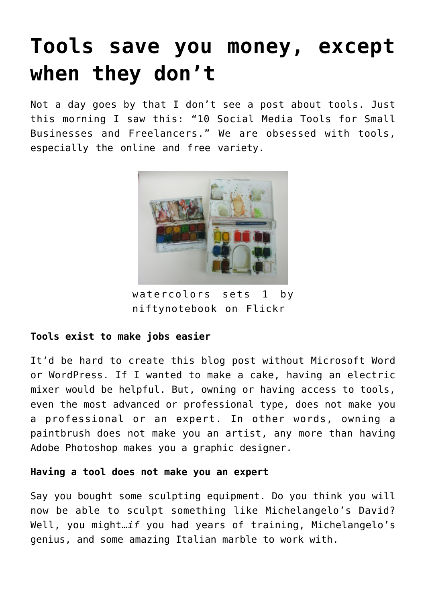# **[Tools save you money, except](https://deborahbrody.com/2015/03/tools-save-you-money-except-when-they-dont/) [when they don't](https://deborahbrody.com/2015/03/tools-save-you-money-except-when-they-dont/)**

Not a day goes by that I don't see a post about tools. Just this morning I saw this: ["10 Social Media Tools for Small](http://www.huffingtonpost.com/alex-ivanovs/10-social-media-tools-for_b_6619490.html) [Businesses and Freelancers."](http://www.huffingtonpost.com/alex-ivanovs/10-social-media-tools-for_b_6619490.html) We are obsessed with tools, especially the online and free variety.



watercolors sets 1 by niftynotebook on Flickr

## **Tools exist to make jobs easier**

It'd be hard to create this blog post without Microsoft Word or WordPress. If I wanted to make a cake, having an electric mixer would be helpful. But, owning or having access to tools, even the most advanced or professional type, does not make you a professional or an expert. In other words, owning a paintbrush does not make you an artist, any more than having Adobe Photoshop makes you a graphic designer.

## **Having a tool does not make you an expert**

Say you bought some sculpting equipment. Do you think you will now be able to sculpt something like Michelangelo's David? Well, you might…*if* you had years of training, Michelangelo's genius, and some amazing Italian marble to work with.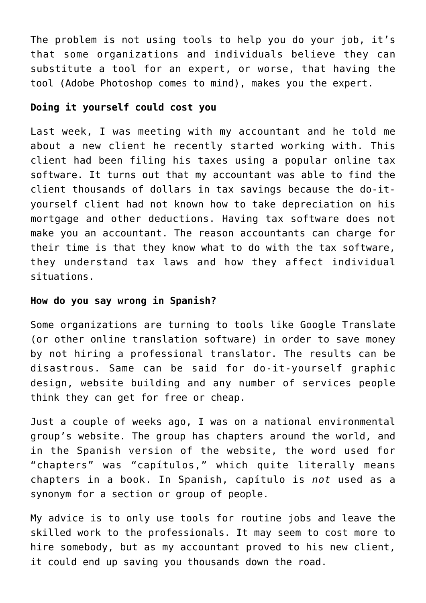The problem is not using tools to help you do your job, it's that some organizations and individuals believe they can substitute a tool for an expert, or worse, that having the tool (Adobe Photoshop comes to mind), makes you the expert.

### **Doing it yourself could cost you**

Last week, I was meeting with my accountant and he told me about a new client he recently started working with. This client had been filing his taxes using a popular online tax software. It turns out that my accountant was able to find the client thousands of dollars in tax savings because the do-ityourself client had not known how to take depreciation on his mortgage and other deductions. Having tax software does not make you an accountant. The reason accountants can charge for their time is that they know what to do with the tax software, they understand tax laws and how they affect individual situations.

#### **How do you say wrong in Spanish?**

Some organizations are turning to tools like Google Translate (or other online translation software) in order to save money by not hiring a professional translator. The results can be disastrous. Same can be said for do-it-yourself graphic design, website building and any number of services people think they can get for free or cheap.

Just a couple of weeks ago, I was on a national environmental group's website. The group has chapters around the world, and in the Spanish version of the website, the word used for "chapters" was "capítulos," which quite literally means chapters in a book. In Spanish, capítulo is *not* used as a synonym for a section or group of people.

My advice is to only use tools for routine jobs and leave the skilled work to the professionals. It may seem to cost more to hire somebody, but as my accountant proved to his new client, it could end up saving you thousands down the road.